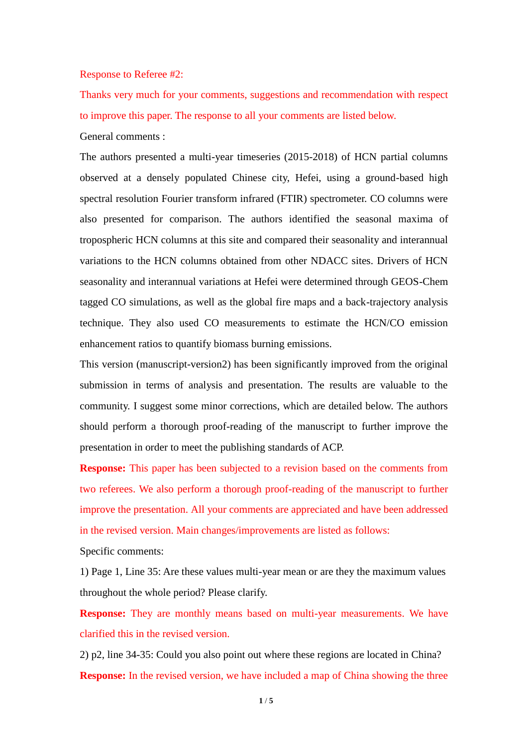## Response to Referee #2:

Thanks very much for your comments, suggestions and recommendation with respect to improve this paper. The response to all your comments are listed below. General comments :

The authors presented a multi-year timeseries (2015-2018) of HCN partial columns observed at a densely populated Chinese city, Hefei, using a ground-based high spectral resolution Fourier transform infrared (FTIR) spectrometer. CO columns were also presented for comparison. The authors identified the seasonal maxima of tropospheric HCN columns at this site and compared their seasonality and interannual variations to the HCN columns obtained from other NDACC sites. Drivers of HCN seasonality and interannual variations at Hefei were determined through GEOS-Chem tagged CO simulations, as well as the global fire maps and a back-trajectory analysis technique. They also used CO measurements to estimate the HCN/CO emission enhancement ratios to quantify biomass burning emissions.

This version (manuscript-version2) has been significantly improved from the original submission in terms of analysis and presentation. The results are valuable to the community. I suggest some minor corrections, which are detailed below. The authors should perform a thorough proof-reading of the manuscript to further improve the presentation in order to meet the publishing standards of ACP.

**Response:** This paper has been subjected to a revision based on the comments from two referees. We also perform a thorough proof-reading of the manuscript to further improve the presentation. All your comments are appreciated and have been addressed in the revised version. Main changes/improvements are listed as follows:

Specific comments:

1) Page 1, Line 35: Are these values multi-year mean or are they the maximum values throughout the whole period? Please clarify.

**Response:** They are monthly means based on multi-year measurements. We have clarified this in the revised version.

2) p2, line 34-35: Could you also point out where these regions are located in China? **Response:** In the revised version, we have included a map of China showing the three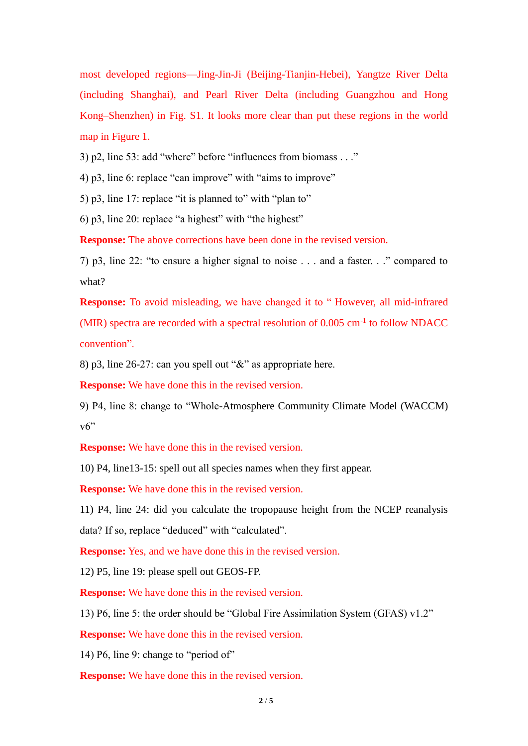most developed regions—Jing-Jin-Ji (Beijing-Tianjin-Hebei), Yangtze River Delta (including Shanghai), and Pearl River Delta (including Guangzhou and Hong Kong–Shenzhen) in Fig. S1. It looks more clear than put these regions in the world map in Figure 1.

3) p2, line 53: add "where" before "influences from biomass . . ."

4) p3, line 6: replace "can improve" with "aims to improve"

5) p3, line 17: replace "it is planned to" with "plan to"

6) p3, line 20: replace "a highest" with "the highest"

**Response:** The above corrections have been done in the revised version.

7) p3, line 22: "to ensure a higher signal to noise . . . and a faster. . ." compared to what?

**Response:** To avoid misleading, we have changed it to " However, all mid-infrared (MIR) spectra are recorded with a spectral resolution of 0.005 cm-1 to follow NDACC convention".

8) p3, line 26-27: can you spell out "&" as appropriate here.

**Response:** We have done this in the revised version.

9) P4, line 8: change to "Whole-Atmosphere Community Climate Model (WACCM) v6"

**Response:** We have done this in the revised version.

10) P4, line13-15: spell out all species names when they first appear.

**Response:** We have done this in the revised version.

11) P4, line 24: did you calculate the tropopause height from the NCEP reanalysis data? If so, replace "deduced" with "calculated".

**Response:** Yes, and we have done this in the revised version.

12) P5, line 19: please spell out GEOS-FP.

**Response:** We have done this in the revised version.

13) P6, line 5: the order should be "Global Fire Assimilation System (GFAS) v1.2"

**Response:** We have done this in the revised version.

14) P6, line 9: change to "period of"

**Response:** We have done this in the revised version.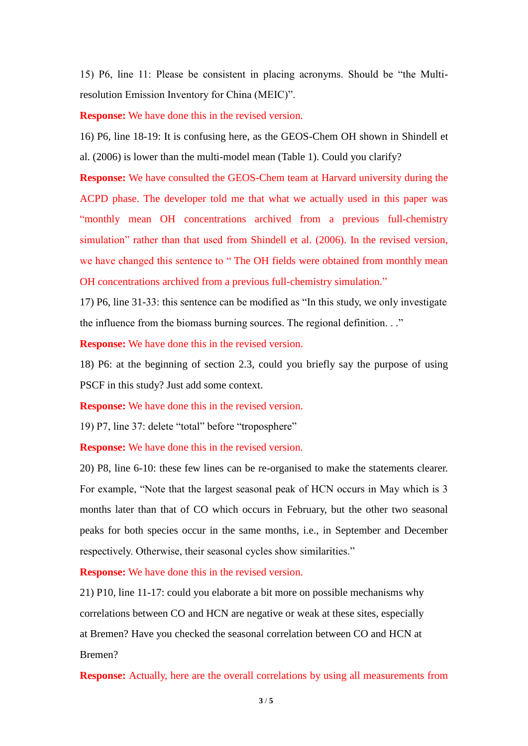15) P6, line 11: Please be consistent in placing acronyms. Should be "the Multiresolution Emission Inventory for China (MEIC)".

**Response:** We have done this in the revised version.

16) P6, line 18-19: It is confusing here, as the GEOS-Chem OH shown in Shindell et al. (2006) is lower than the multi-model mean (Table 1). Could you clarify?

**Response:** We have consulted the GEOS-Chem team at Harvard university during the ACPD phase. The developer told me that what we actually used in this paper was "monthly mean OH concentrations archived from a previous full-chemistry simulation" rather than that used from Shindell et al. (2006). In the revised version, we have changed this sentence to " The OH fields were obtained from monthly mean OH concentrations archived from a previous full-chemistry simulation."

17) P6, line 31-33: this sentence can be modified as "In this study, we only investigate the influence from the biomass burning sources. The regional definition. . ."

**Response:** We have done this in the revised version.

18) P6: at the beginning of section 2.3, could you briefly say the purpose of using PSCF in this study? Just add some context.

**Response:** We have done this in the revised version.

19) P7, line 37: delete "total" before "troposphere"

**Response:** We have done this in the revised version.

20) P8, line 6-10: these few lines can be re-organised to make the statements clearer. For example, "Note that the largest seasonal peak of HCN occurs in May which is 3 months later than that of CO which occurs in February, but the other two seasonal peaks for both species occur in the same months, i.e., in September and December respectively. Otherwise, their seasonal cycles show similarities."

**Response:** We have done this in the revised version.

21) P10, line 11-17: could you elaborate a bit more on possible mechanisms why correlations between CO and HCN are negative or weak at these sites, especially at Bremen? Have you checked the seasonal correlation between CO and HCN at Bremen?

**Response:** Actually, here are the overall correlations by using all measurements from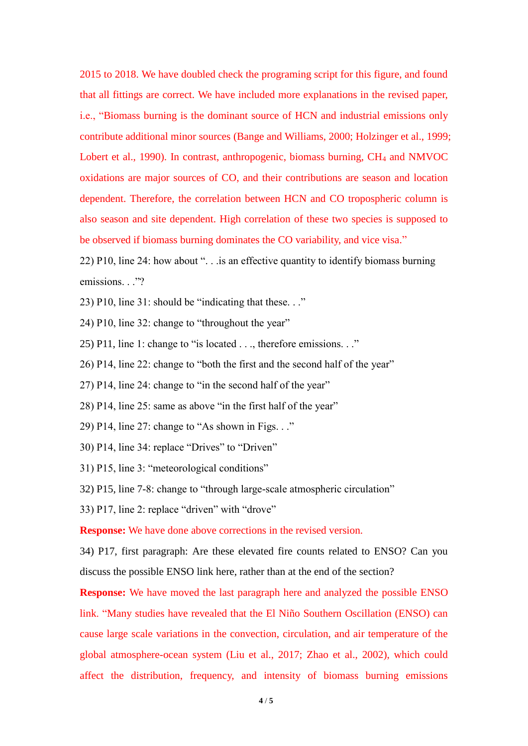2015 to 2018. We have doubled check the programing script for this figure, and found that all fittings are correct. We have included more explanations in the revised paper, i.e., "Biomass burning is the dominant source of HCN and industrial emissions only contribute additional minor sources (Bange and Williams, 2000; Holzinger et al., 1999; Lobert et al., 1990). In contrast, anthropogenic, biomass burning, CH<sub>4</sub> and NMVOC oxidations are major sources of CO, and their contributions are season and location dependent. Therefore, the correlation between HCN and CO tropospheric column is also season and site dependent. High correlation of these two species is supposed to be observed if biomass burning dominates the CO variability, and vice visa."

22) P10, line 24: how about ". . .is an effective quantity to identify biomass burning emissions. . ."?

- 23) P10, line 31: should be "indicating that these. . ."
- 24) P10, line 32: change to "throughout the year"
- 25) P11, line 1: change to "is located . . ., therefore emissions. . ."
- 26) P14, line 22: change to "both the first and the second half of the year"
- 27) P14, line 24: change to "in the second half of the year"
- 28) P14, line 25: same as above "in the first half of the year"
- 29) P14, line 27: change to "As shown in Figs. . ."
- 30) P14, line 34: replace "Drives" to "Driven"
- 31) P15, line 3: "meteorological conditions"

32) P15, line 7-8: change to "through large-scale atmospheric circulation"

33) P17, line 2: replace "driven" with "drove"

**Response:** We have done above corrections in the revised version.

34) P17, first paragraph: Are these elevated fire counts related to ENSO? Can you discuss the possible ENSO link here, rather than at the end of the section?

**Response:** We have moved the last paragraph here and analyzed the possible ENSO link. "Many studies have revealed that the El Niño Southern Oscillation (ENSO) can cause large scale variations in the convection, circulation, and air temperature of the global atmosphere-ocean system (Liu et al., 2017; Zhao et al., 2002), which could affect the distribution, frequency, and intensity of biomass burning emissions